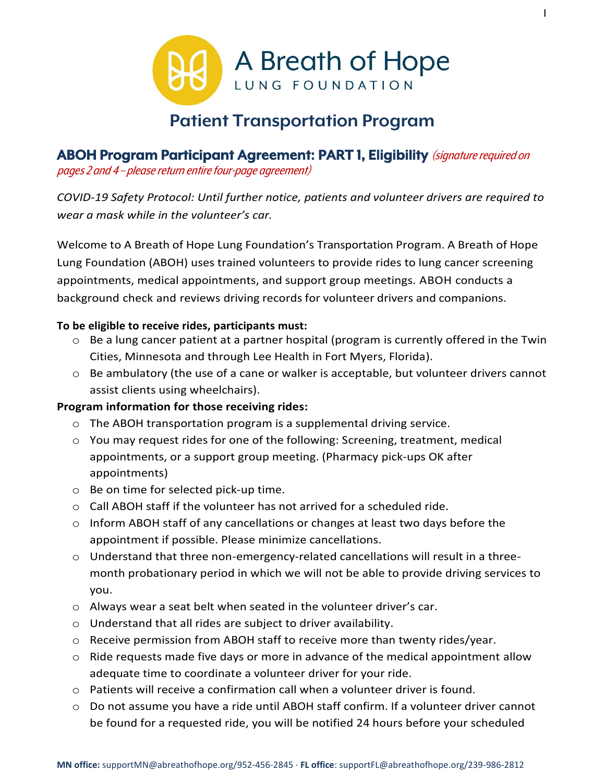

1

# **Patient Transportation Program**

#### **ABOH Program Participant Agreement: PART 1, Eligibility** (signature required on pages 2 and 4 – please return entire four-page agreement)

*COVID-19 Safety Protocol: Until further notice, patients and volunteer drivers are required to wear a mask while in the volunteer's car.* 

Welcome to A Breath of Hope Lung Foundation's Transportation Program. A Breath of Hope Lung Foundation (ABOH) uses trained volunteers to provide rides to lung cancer screening appointments, medical appointments, and support group meetings. ABOH conducts a background check and reviews driving records for volunteer drivers and companions.

#### **To be eligible to receive rides, participants must:**

- o Be a lung cancer patient at a partner hospital (program is currently offered in the Twin Cities, Minnesota and through Lee Health in Fort Myers, Florida).
- o Be ambulatory (the use of a cane or walker is acceptable, but volunteer drivers cannot assist clients using wheelchairs).

#### **Program information for those receiving rides:**

- o The ABOH transportation program is a supplemental driving service.
- o You may request rides for one of the following: Screening, treatment, medical appointments, or a support group meeting. (Pharmacy pick-ups OK after appointments)
- o Be on time for selected pick-up time.
- $\circ$  Call ABOH staff if the volunteer has not arrived for a scheduled ride.
- $\circ$  Inform ABOH staff of any cancellations or changes at least two days before the appointment if possible. Please minimize cancellations.
- $\circ$  Understand that three non-emergency-related cancellations will result in a threemonth probationary period in which we will not be able to provide driving services to you.
- o Always wear a seat belt when seated in the volunteer driver's car.
- $\circ$  Understand that all rides are subject to driver availability.
- $\circ$  Receive permission from ABOH staff to receive more than twenty rides/year.
- $\circ$  Ride requests made five days or more in advance of the medical appointment allow adequate time to coordinate a volunteer driver for your ride.
- $\circ$  Patients will receive a confirmation call when a volunteer driver is found.
- $\circ$  Do not assume you have a ride until ABOH staff confirm. If a volunteer driver cannot be found for a requested ride, you will be notified 24 hours before your scheduled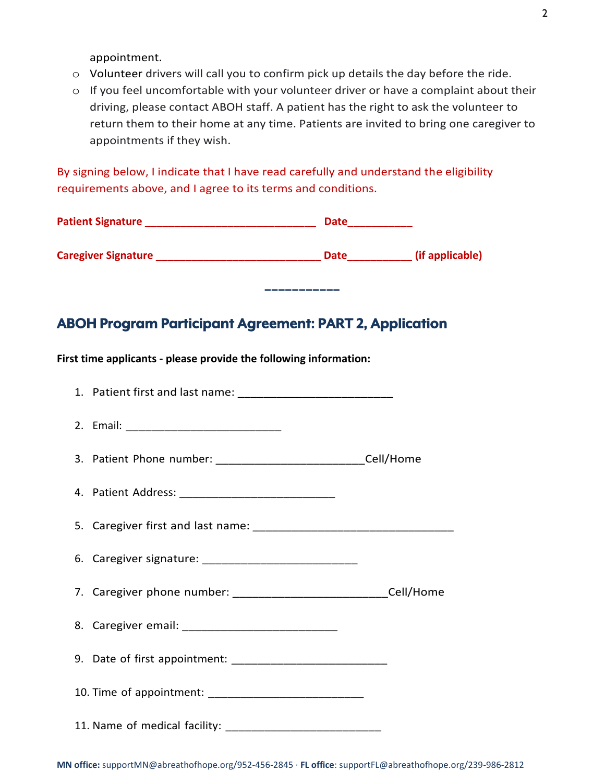appointment.

- o Volunteer drivers will call you to confirm pick up details the day before the ride.
- o If you feel uncomfortable with your volunteer driver or have a complaint about their driving, please contact ABOH staff. A patient has the right to ask the volunteer to return them to their home at any time. Patients are invited to bring one caregiver to appointments if they wish.

**−−−−−−−−−−−**

By signing below, I indicate that I have read carefully and understand the eligibility requirements above, and I agree to its terms and conditions.

| <b>Patient Signature</b>   | <b>Date</b> |                 |
|----------------------------|-------------|-----------------|
| <b>Caregiver Signature</b> | <b>Date</b> | (if applicable) |

### **ABOH Program Participant Agreement: PART 2, Application**

**First time applicants - please provide the following information:**

| 3. Patient Phone number: __________________________________Cell/Home   |  |
|------------------------------------------------------------------------|--|
|                                                                        |  |
|                                                                        |  |
|                                                                        |  |
| 7. Caregiver phone number: __________________________________Cell/Home |  |
|                                                                        |  |
|                                                                        |  |
|                                                                        |  |
|                                                                        |  |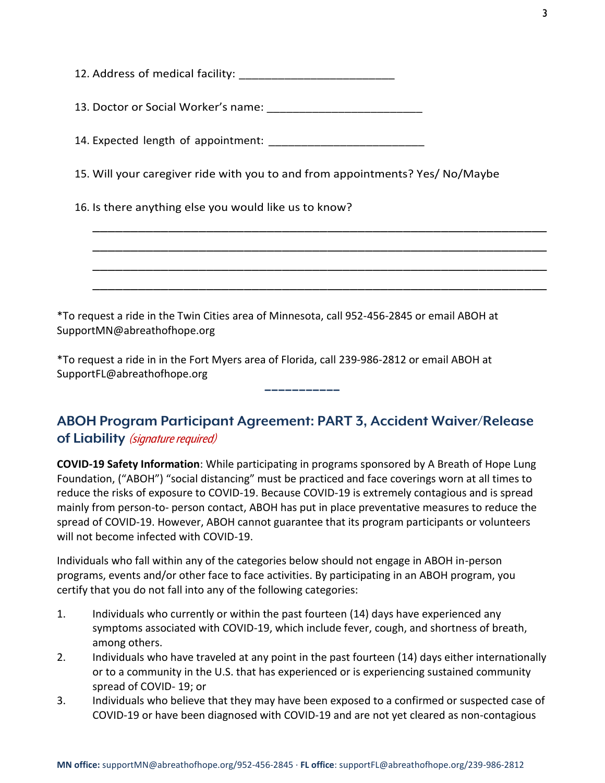| 15. Will your caregiver ride with you to and from appointments? Yes/ No/Maybe |
|-------------------------------------------------------------------------------|
| 16. Is there anything else you would like us to know?                         |
|                                                                               |
|                                                                               |
|                                                                               |
|                                                                               |

\*To request a ride in the Twin Cities area of Minnesota, call 952-456-2845 or email ABOH at SupportMN@abreathofhope.org

\*To request a ride in in the Fort Myers area of Florida, call 239-986-2812 or email ABOH at SupportFL@abreathofhope.org

## **ABOH Program Participant Agreement: PART 3, Accident Waiver/Release of Liability** (signature required)

**−−−−−−−−−−−**

**COVID-19 Safety Information**: While participating in programs sponsored by A Breath of Hope Lung Foundation, ("ABOH") "social distancing" must be practiced and face coverings worn at all times to reduce the risks of exposure to COVID-19. Because COVID-19 is extremely contagious and is spread mainly from person-to- person contact, ABOH has put in place preventative measures to reduce the spread of COVID-19. However, ABOH cannot guarantee that its program participants or volunteers will not become infected with COVID-19.

Individuals who fall within any of the categories below should not engage in ABOH in-person programs, events and/or other face to face activities. By participating in an ABOH program, you certify that you do not fall into any of the following categories:

- 1. Individuals who currently or within the past fourteen (14) days have experienced any symptoms associated with COVID-19, which include fever, cough, and shortness of breath, among others.
- 2. Individuals who have traveled at any point in the past fourteen (14) days either internationally or to a community in the U.S. that has experienced or is experiencing sustained community spread of COVID- 19; or
- 3. Individuals who believe that they may have been exposed to a confirmed or suspected case of COVID-19 or have been diagnosed with COVID-19 and are not yet cleared as non-contagious